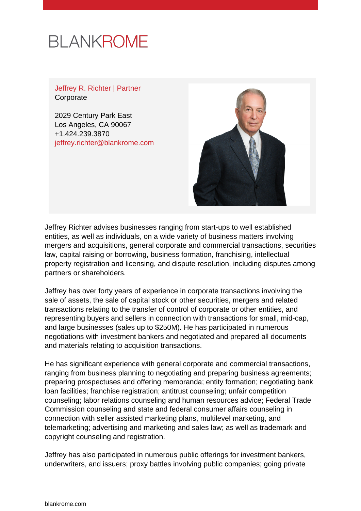# **BLANKROME**

Jeffrey R. Richter | Partner **Corporate** 

2029 Century Park East Los Angeles, CA 90067 +1.424.239.3870 [jeffrey.richter@blankrome.com](mailto:jeffrey.richter@blankrome.com)



Jeffrey Richter advises businesses ranging from start-ups to well established entities, as well as individuals, on a wide variety of business matters involving mergers and acquisitions, general corporate and commercial transactions, securities law, capital raising or borrowing, business formation, franchising, intellectual property registration and licensing, and dispute resolution, including disputes among partners or shareholders.

Jeffrey has over forty years of experience in corporate transactions involving the sale of assets, the sale of capital stock or other securities, mergers and related transactions relating to the transfer of control of corporate or other entities, and representing buyers and sellers in connection with transactions for small, mid-cap, and large businesses (sales up to \$250M). He has participated in numerous negotiations with investment bankers and negotiated and prepared all documents and materials relating to acquisition transactions.

He has significant experience with general corporate and commercial transactions, ranging from business planning to negotiating and preparing business agreements; preparing prospectuses and offering memoranda; entity formation; negotiating bank loan facilities; franchise registration; antitrust counseling; unfair competition counseling; labor relations counseling and human resources advice; Federal Trade Commission counseling and state and federal consumer affairs counseling in connection with seller assisted marketing plans, multilevel marketing, and telemarketing; advertising and marketing and sales law; as well as trademark and copyright counseling and registration.

Jeffrey has also participated in numerous public offerings for investment bankers, underwriters, and issuers; proxy battles involving public companies; going private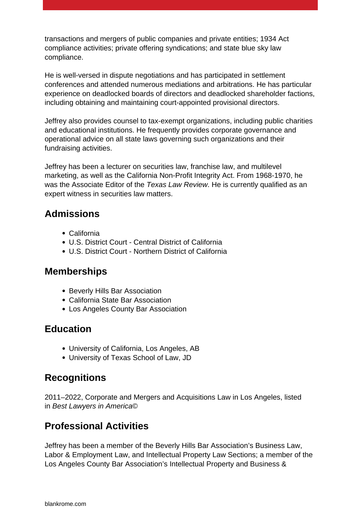transactions and mergers of public companies and private entities; 1934 Act compliance activities; private offering syndications; and state blue sky law compliance.

He is well-versed in dispute negotiations and has participated in settlement conferences and attended numerous mediations and arbitrations. He has particular experience on deadlocked boards of directors and deadlocked shareholder factions, including obtaining and maintaining court-appointed provisional directors.

Jeffrey also provides counsel to tax-exempt organizations, including public charities and educational institutions. He frequently provides corporate governance and operational advice on all state laws governing such organizations and their fundraising activities.

Jeffrey has been a lecturer on securities law, franchise law, and multilevel marketing, as well as the California Non-Profit Integrity Act. From 1968-1970, he was the Associate Editor of the Texas Law Review. He is currently qualified as an expert witness in securities law matters.

### **Admissions**

- California
- U.S. District Court Central District of California
- U.S. District Court Northern District of California

#### **Memberships**

- Beverly Hills Bar Association
- California State Bar Association
- Los Angeles County Bar Association

#### **Education**

- University of California, Los Angeles, AB
- University of Texas School of Law, JD

## **Recognitions**

2011–2022, Corporate and Mergers and Acquisitions Law in Los Angeles, listed in Best Lawyers in America©

## **Professional Activities**

Jeffrey has been a member of the Beverly Hills Bar Association's Business Law, Labor & Employment Law, and Intellectual Property Law Sections; a member of the Los Angeles County Bar Association's Intellectual Property and Business &